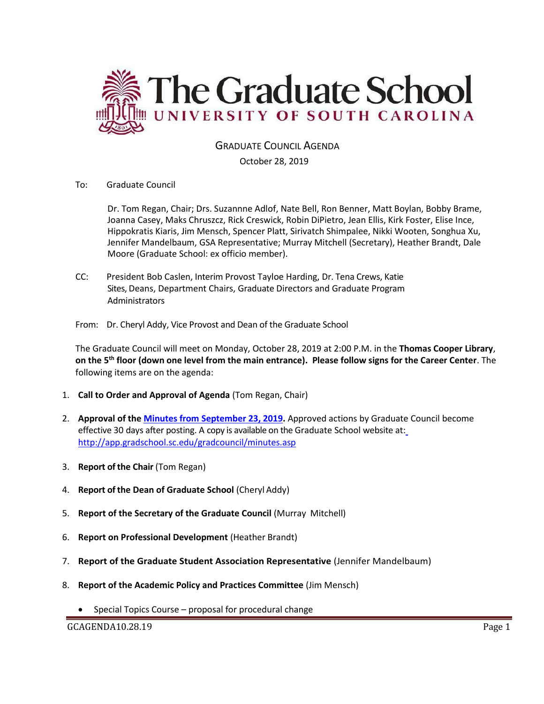

## GRADUATE COUNCIL AGENDA

### October 28, 2019

To: Graduate Council

Dr. Tom Regan, Chair; Drs. Suzannne Adlof, Nate Bell, Ron Benner, Matt Boylan, Bobby Brame, Joanna Casey, Maks Chruszcz, Rick Creswick, Robin DiPietro, Jean Ellis, Kirk Foster, Elise Ince, Hippokratis Kiaris, Jim Mensch, Spencer Platt, Sirivatch Shimpalee, Nikki Wooten, Songhua Xu, Jennifer Mandelbaum, GSA Representative; Murray Mitchell (Secretary), Heather Brandt, Dale Moore (Graduate School: ex officio member).

CC: President Bob Caslen, Interim Provost Tayloe Harding, Dr. Tena Crews, Katie Sites, Deans, Department Chairs, Graduate Directors and Graduate Program Administrators

From: Dr. Cheryl Addy, Vice Provost and Dean of the Graduate School

The Graduate Council will meet on Monday, October 28, 2019 at 2:00 P.M. in the **Thomas Cooper Library**, **on the 5th floor (down one level from the main entrance). Please follow signs for the Career Center**. The following items are on the agenda:

- 1. **Call to Order and Approval of Agenda** (Tom Regan, Chair)
- 2. **Approval of the [Minutes from September 23, 2019.](file:///C:/Users/wandab/AppData/Local/Microsoft/Windows/INetCache/Content.Outlook/43K4JUJC/Grad%20Council%20Minutes/GCMINUTESEP232019%20MM2.pdf)** Approved actions by Graduate Council become effective 30 days after posting. A copy is available on the Graduate School website at[:](http://app.gradschool.sc.edu/gradcouncil/minutes.asp) <http://app.gradschool.sc.edu/gradcouncil/minutes.asp>
- 3. **Report of the Chair** (Tom Regan)
- 4. **Report of the Dean of Graduate School** (Cheryl Addy)
- 5. **Report of the Secretary of the Graduate Council** (Murray Mitchell)
- 6. **Report on Professional Development** (Heather Brandt)
- 7. **Report of the Graduate Student Association Representative** (Jennifer Mandelbaum)
- 8. **Report of the Academic Policy and Practices Committee** (Jim Mensch)
	- Special Topics Course proposal for procedural change

GCAGENDA10.28.19 Page 1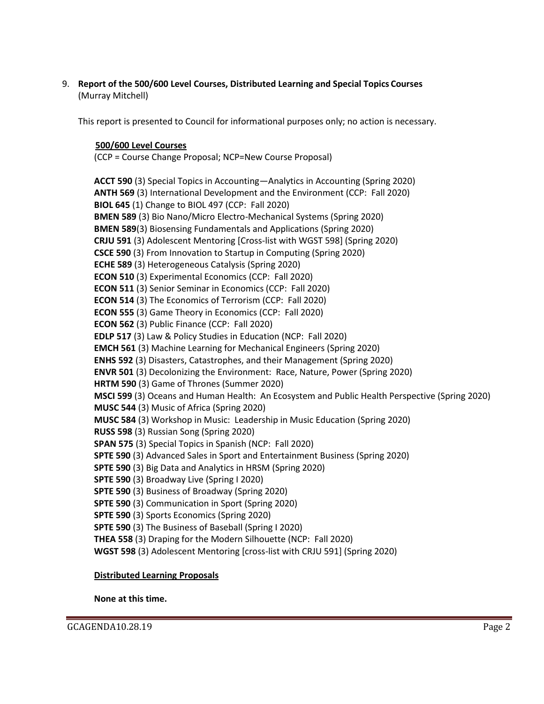9. **Report of the 500/600 Level Courses, Distributed Learning and Special Topics Courses** (Murray Mitchell)

This report is presented to Council for informational purposes only; no action is necessary.

## **500/600 Level Courses**

(CCP = Course Change Proposal; NCP=New Course Proposal)

**ACCT 590** (3) Special Topics in Accounting—Analytics in Accounting (Spring 2020) **ANTH 569** (3) International Development and the Environment (CCP: Fall 2020) **BIOL 645** (1) Change to BIOL 497 (CCP: Fall 2020) **BMEN 589** (3) Bio Nano/Micro Electro-Mechanical Systems (Spring 2020) **BMEN 589**(3) Biosensing Fundamentals and Applications (Spring 2020) **CRJU 591** (3) Adolescent Mentoring [Cross-list with WGST 598] (Spring 2020) **CSCE 590** (3) From Innovation to Startup in Computing (Spring 2020) **ECHE 589** (3) Heterogeneous Catalysis (Spring 2020) **ECON 510** (3) Experimental Economics (CCP: Fall 2020) **ECON 511** (3) Senior Seminar in Economics (CCP: Fall 2020) **ECON 514** (3) The Economics of Terrorism (CCP: Fall 2020) **ECON 555** (3) Game Theory in Economics (CCP: Fall 2020) **ECON 562** (3) Public Finance (CCP: Fall 2020) **EDLP 517** (3) Law & Policy Studies in Education (NCP: Fall 2020) **EMCH 561** (3) Machine Learning for Mechanical Engineers (Spring 2020) **ENHS 592** (3) Disasters, Catastrophes, and their Management (Spring 2020) **ENVR 501** (3) Decolonizing the Environment: Race, Nature, Power (Spring 2020) **HRTM 590** (3) Game of Thrones (Summer 2020) **MSCI 599** (3) Oceans and Human Health: An Ecosystem and Public Health Perspective (Spring 2020) **MUSC 544** (3) Music of Africa (Spring 2020) **MUSC 584** (3) Workshop in Music: Leadership in Music Education (Spring 2020) **RUSS 598** (3) Russian Song (Spring 2020) **SPAN 575** (3) Special Topics in Spanish (NCP: Fall 2020) **SPTE 590** (3) Advanced Sales in Sport and Entertainment Business (Spring 2020) **SPTE 590** (3) Big Data and Analytics in HRSM (Spring 2020) **SPTE 590** (3) Broadway Live (Spring I 2020) **SPTE 590** (3) Business of Broadway (Spring 2020) **SPTE 590** (3) Communication in Sport (Spring 2020) **SPTE 590** (3) Sports Economics (Spring 2020) **SPTE 590** (3) The Business of Baseball (Spring I 2020) **THEA 558** (3) Draping for the Modern Silhouette (NCP: Fall 2020) **WGST 598** (3) Adolescent Mentoring [cross-list with CRJU 591] (Spring 2020)

#### **Distributed Learning Proposals**

**None at this time.**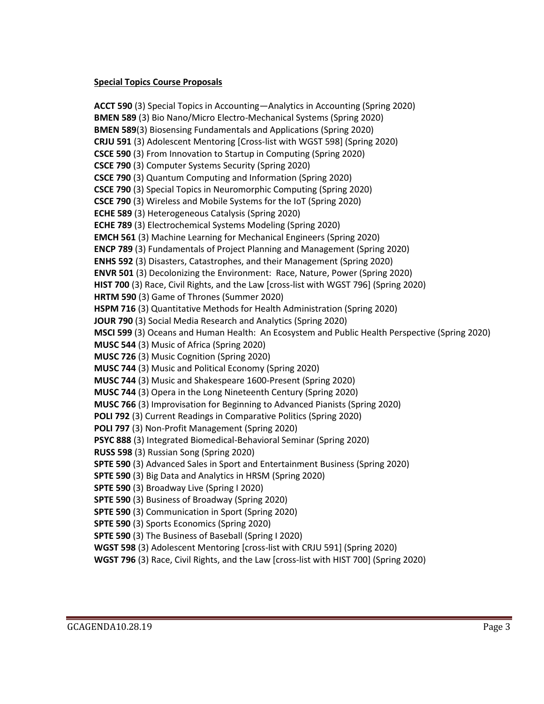### **Special Topics Course Proposals**

**ACCT 590** (3) Special Topics in Accounting—Analytics in Accounting (Spring 2020) **BMEN 589** (3) Bio Nano/Micro Electro-Mechanical Systems (Spring 2020) **BMEN 589**(3) Biosensing Fundamentals and Applications (Spring 2020) **CRJU 591** (3) Adolescent Mentoring [Cross-list with WGST 598] (Spring 2020) **CSCE 590** (3) From Innovation to Startup in Computing (Spring 2020) **CSCE 790** (3) Computer Systems Security (Spring 2020) **CSCE 790** (3) Quantum Computing and Information (Spring 2020) **CSCE 790** (3) Special Topics in Neuromorphic Computing (Spring 2020) **CSCE 790** (3) Wireless and Mobile Systems for the IoT (Spring 2020) **ECHE 589** (3) Heterogeneous Catalysis (Spring 2020) **ECHE 789** (3) Electrochemical Systems Modeling (Spring 2020) **EMCH 561** (3) Machine Learning for Mechanical Engineers (Spring 2020) **ENCP 789** (3) Fundamentals of Project Planning and Management (Spring 2020) **ENHS 592** (3) Disasters, Catastrophes, and their Management (Spring 2020) **ENVR 501** (3) Decolonizing the Environment: Race, Nature, Power (Spring 2020) **HIST 700** (3) Race, Civil Rights, and the Law [cross-list with WGST 796] (Spring 2020) **HRTM 590** (3) Game of Thrones (Summer 2020) **HSPM 716** (3) Quantitative Methods for Health Administration (Spring 2020) **JOUR 790** (3) Social Media Research and Analytics (Spring 2020) **MSCI 599** (3) Oceans and Human Health: An Ecosystem and Public Health Perspective (Spring 2020) **MUSC 544** (3) Music of Africa (Spring 2020) **MUSC 726** (3) Music Cognition (Spring 2020) **MUSC 744** (3) Music and Political Economy (Spring 2020) **MUSC 744** (3) Music and Shakespeare 1600-Present (Spring 2020) **MUSC 744** (3) Opera in the Long Nineteenth Century (Spring 2020) **MUSC 766** (3) Improvisation for Beginning to Advanced Pianists (Spring 2020) **POLI 792** (3) Current Readings in Comparative Politics (Spring 2020) **POLI 797** (3) Non-Profit Management (Spring 2020) **PSYC 888** (3) Integrated Biomedical-Behavioral Seminar (Spring 2020) **RUSS 598** (3) Russian Song (Spring 2020) **SPTE 590** (3) Advanced Sales in Sport and Entertainment Business (Spring 2020) **SPTE 590** (3) Big Data and Analytics in HRSM (Spring 2020) **SPTE 590** (3) Broadway Live (Spring I 2020) **SPTE 590** (3) Business of Broadway (Spring 2020) **SPTE 590** (3) Communication in Sport (Spring 2020) **SPTE 590** (3) Sports Economics (Spring 2020) **SPTE 590** (3) The Business of Baseball (Spring I 2020) **WGST 598** (3) Adolescent Mentoring [cross-list with CRJU 591] (Spring 2020)

**WGST 796** (3) Race, Civil Rights, and the Law [cross-list with HIST 700] (Spring 2020)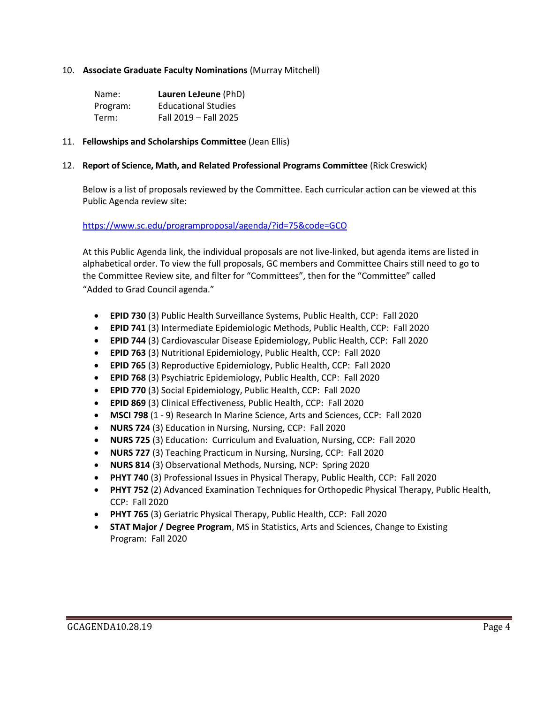### 10. **Associate Graduate Faculty Nominations** (Murray Mitchell)

| Name:    | Lauren LeJeune (PhD)       |
|----------|----------------------------|
| Program: | <b>Educational Studies</b> |
| Term:    | Fall 2019 - Fall 2025      |

#### 11. **Fellowships and Scholarships Committee** (Jean Ellis)

#### 12. **Report of Science, Math, and Related Professional Programs Committee** (Rick Creswick)

Below is a list of proposals reviewed by the Committee. Each curricular action can be viewed at this Public Agenda review site:

#### <https://www.sc.edu/programproposal/agenda/?id=75&code=GCO>

At this Public Agenda link, the individual proposals are not live-linked, but agenda items are listed in alphabetical order. To view the full proposals, GC members and Committee Chairs still need to go to the Committee Review site, and filter for "Committees", then for the "Committee" called "Added to Grad Council agenda."

- **EPID 730** (3) Public Health Surveillance Systems, Public Health, CCP: Fall 2020
- **EPID 741** (3) Intermediate Epidemiologic Methods, Public Health, CCP: Fall 2020
- **EPID 744** (3) Cardiovascular Disease Epidemiology, Public Health, CCP: Fall 2020
- **EPID 763** (3) Nutritional Epidemiology, Public Health, CCP: Fall 2020
- **EPID 765** (3) Reproductive Epidemiology, Public Health, CCP: Fall 2020
- **EPID 768** (3) Psychiatric Epidemiology, Public Health, CCP: Fall 2020
- **EPID 770** (3) Social Epidemiology, Public Health, CCP: Fall 2020
- **EPID 869** (3) Clinical Effectiveness, Public Health, CCP: Fall 2020
- **MSCI 798** (1 9) Research In Marine Science, Arts and Sciences, CCP: Fall 2020
- **NURS 724** (3) Education in Nursing, Nursing, CCP: Fall 2020
- **NURS 725** (3) Education: Curriculum and Evaluation, Nursing, CCP: Fall 2020
- **NURS 727** (3) Teaching Practicum in Nursing, Nursing, CCP: Fall 2020
- **NURS 814** (3) Observational Methods, Nursing, NCP: Spring 2020
- **PHYT 740** (3) Professional Issues in Physical Therapy, Public Health, CCP: Fall 2020
- **PHYT 752** (2) Advanced Examination Techniques for Orthopedic Physical Therapy, Public Health, CCP: Fall 2020
- **PHYT 765** (3) Geriatric Physical Therapy, Public Health, CCP: Fall 2020
- **STAT Major / Degree Program**, MS in Statistics, Arts and Sciences, Change to Existing Program: Fall 2020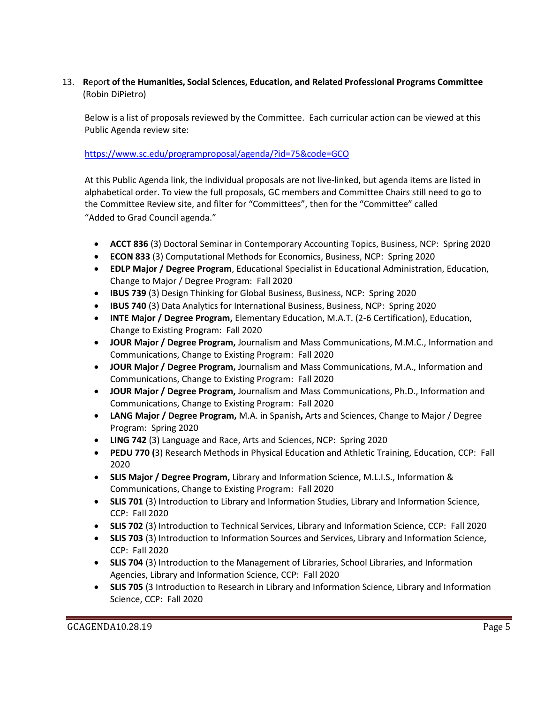# 13. **R**epor**t of the Humanities, Social Sciences, Education, and Related Professional Programs Committee**  (Robin DiPietro)

Below is a list of proposals reviewed by the Committee. Each curricular action can be viewed at this Public Agenda review site:

# <https://www.sc.edu/programproposal/agenda/?id=75&code=GCO>

At this Public Agenda link, the individual proposals are not live-linked, but agenda items are listed in alphabetical order. To view the full proposals, GC members and Committee Chairs still need to go to the Committee Review site, and filter for "Committees", then for the "Committee" called "Added to Grad Council agenda."

- **ACCT 836** (3) Doctoral Seminar in Contemporary Accounting Topics, Business, NCP: Spring 2020
- **ECON 833** (3) Computational Methods for Economics, Business, NCP: Spring 2020
- **EDLP Major / Degree Program**, Educational Specialist in Educational Administration, Education, Change to Major / Degree Program: Fall 2020
- **IBUS 739** (3) Design Thinking for Global Business, Business, NCP: Spring 2020
- **IBUS 740** (3) Data Analytics for International Business, Business, NCP: Spring 2020
- **INTE Major / Degree Program,** Elementary Education, M.A.T. (2-6 Certification), Education, Change to Existing Program: Fall 2020
- **JOUR Major / Degree Program,** Journalism and Mass Communications, M.M.C., Information and Communications, Change to Existing Program: Fall 2020
- **JOUR Major / Degree Program,** Journalism and Mass Communications, M.A., Information and Communications, Change to Existing Program: Fall 2020
- **JOUR Major / Degree Program,** Journalism and Mass Communications, Ph.D., Information and Communications, Change to Existing Program: Fall 2020
- **LANG Major / Degree Program,** M.A. in Spanish**,** Arts and Sciences, Change to Major / Degree Program: Spring 2020
- **LING 742** (3) Language and Race, Arts and Sciences, NCP: Spring 2020
- **PEDU 770 (**3) Research Methods in Physical Education and Athletic Training, Education, CCP: Fall 2020
- **SLIS Major / Degree Program,** Library and Information Science, M.L.I.S., Information & Communications, Change to Existing Program: Fall 2020
- **SLIS 701** (3) Introduction to Library and Information Studies, Library and Information Science, CCP: Fall 2020
- **SLIS 702** (3) Introduction to Technical Services, Library and Information Science, CCP: Fall 2020
- **SLIS 703** (3) Introduction to Information Sources and Services, Library and Information Science, CCP: Fall 2020
- **SLIS 704** (3) Introduction to the Management of Libraries, School Libraries, and Information Agencies, Library and Information Science, CCP: Fall 2020
- **SLIS 705** (3 Introduction to Research in Library and Information Science, Library and Information Science, CCP: Fall 2020